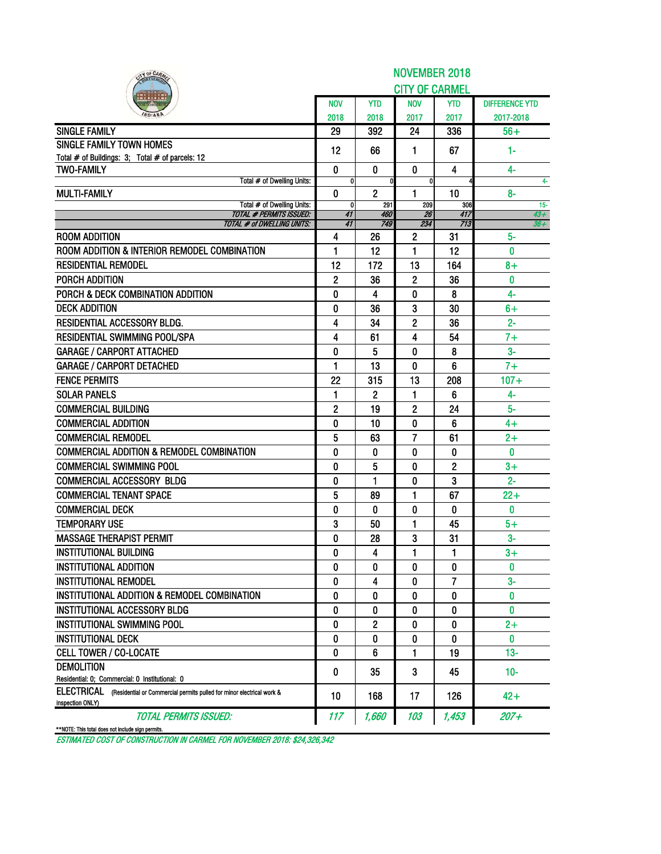| IY OF CARA                                                                                                                         | <b>NOVEMBER 2018</b> |                |                       |              |                       |  |  |  |  |  |  |
|------------------------------------------------------------------------------------------------------------------------------------|----------------------|----------------|-----------------------|--------------|-----------------------|--|--|--|--|--|--|
|                                                                                                                                    |                      |                | <b>CITY OF CARMEL</b> |              |                       |  |  |  |  |  |  |
|                                                                                                                                    | <b>NOV</b>           | <b>YTD</b>     | <b>NOV</b>            | <b>YTD</b>   | <b>DIFFERENCE YTD</b> |  |  |  |  |  |  |
|                                                                                                                                    | 2018                 | 2018           | 2017                  | 2017         | 2017-2018             |  |  |  |  |  |  |
| <b>SINGLE FAMILY</b>                                                                                                               | 29                   | 392            | 24                    | 336          | $56+$                 |  |  |  |  |  |  |
| <b>SINGLE FAMILY TOWN HOMES</b>                                                                                                    | 12                   | 66             | $\mathbf 1$           | 67           | 1-                    |  |  |  |  |  |  |
| Total # of Buildings: 3; Total # of parcels: 12                                                                                    |                      |                |                       |              |                       |  |  |  |  |  |  |
| <b>TWO-FAMILY</b>                                                                                                                  | $\bf{0}$             | $\mathbf{0}$   | $\mathbf{0}$          | 4            | $4-$                  |  |  |  |  |  |  |
| Total # of Dwelling Units:<br><b>MULTI-FAMILY</b>                                                                                  | 0<br>0               | $\overline{2}$ | 0<br>$\blacksquare$   | 10           | 4-<br>$8-$            |  |  |  |  |  |  |
| Total # of Dwelling Units:                                                                                                         | $\mathbf{0}$         | 291            | 209                   | 306          | $15 -$                |  |  |  |  |  |  |
| <b>TOTAL # PERMITS ISSUED:</b>                                                                                                     | 41                   | 460<br>749     | 26<br>234             | 417<br>713   | $43 +$                |  |  |  |  |  |  |
| <b>TOTAL # of DWELLING UNITS:</b><br><b>ROOM ADDITION</b>                                                                          | 41<br>4              | 26             | 2                     | 31           | $36+$<br>$5-$         |  |  |  |  |  |  |
| ROOM ADDITION & INTERIOR REMODEL COMBINATION                                                                                       | 1                    | 12             | 1                     | 12           | $\mathbf{0}$          |  |  |  |  |  |  |
| <b>RESIDENTIAL REMODEL</b>                                                                                                         | 12                   | 172            | 13                    | 164          | $8+$                  |  |  |  |  |  |  |
| PORCH ADDITION                                                                                                                     |                      |                |                       | 36           | $\bf{0}$              |  |  |  |  |  |  |
| PORCH & DECK COMBINATION ADDITION                                                                                                  | 2                    | 36             | 2                     |              |                       |  |  |  |  |  |  |
| <b>DECK ADDITION</b>                                                                                                               | 0                    | 4              | 0                     | 8            | 4-                    |  |  |  |  |  |  |
|                                                                                                                                    | 0                    | 36             | 3                     | 30           | 6+                    |  |  |  |  |  |  |
| RESIDENTIAL ACCESSORY BLDG.<br><b>RESIDENTIAL SWIMMING POOL/SPA</b>                                                                | 4                    | 34             | 2                     | 36           | $2 -$                 |  |  |  |  |  |  |
|                                                                                                                                    | 4                    | 61             | 4                     | 54           | $7+$                  |  |  |  |  |  |  |
| <b>GARAGE / CARPORT ATTACHED</b>                                                                                                   | 0                    | 5              | 0                     | 8            | $3-$                  |  |  |  |  |  |  |
| <b>GARAGE / CARPORT DETACHED</b>                                                                                                   | 1                    | 13             | 0                     | 6            | $7+$                  |  |  |  |  |  |  |
| <b>FENCE PERMITS</b>                                                                                                               | 22                   | 315            | 13                    | 208          | $107 +$               |  |  |  |  |  |  |
| <b>SOLAR PANELS</b>                                                                                                                | 1                    | 2              | 1                     | 6            | 4-                    |  |  |  |  |  |  |
| <b>COMMERCIAL BUILDING</b>                                                                                                         | $\overline{2}$       | 19             | 2                     | 24           | $5-$                  |  |  |  |  |  |  |
| <b>COMMERCIAL ADDITION</b>                                                                                                         | 0                    | 10             | 0                     | 6            | $4+$                  |  |  |  |  |  |  |
| <b>COMMERCIAL REMODEL</b>                                                                                                          | 5                    | 63             | 7                     | 61           | $2+$                  |  |  |  |  |  |  |
| <b>COMMERCIAL ADDITION &amp; REMODEL COMBINATION</b>                                                                               | 0                    | 0              | 0                     | 0            | 0                     |  |  |  |  |  |  |
| <b>COMMERCIAL SWIMMING POOL</b>                                                                                                    | 0                    | 5              | 0                     | $\mathbf{2}$ | $3+$                  |  |  |  |  |  |  |
| <b>COMMERCIAL ACCESSORY BLDG</b>                                                                                                   | 0                    | 1              | 0                     | 3            | $2 -$                 |  |  |  |  |  |  |
| <b>COMMERCIAL TENANT SPACE</b>                                                                                                     | 5                    | 89             | 1                     | 67           | $22 +$                |  |  |  |  |  |  |
| <b>COMMERCIAL DECK</b>                                                                                                             | 0                    | $\mathbf{0}$   | 0                     | 0            | $\bf{0}$              |  |  |  |  |  |  |
| <b>TEMPORARY USE</b>                                                                                                               | 3                    | 50             | 1                     | 45           | $5+$                  |  |  |  |  |  |  |
| <b>MASSAGE THERAPIST PERMIT</b>                                                                                                    | 0                    | 28             | 3                     | 31           | $3-$                  |  |  |  |  |  |  |
| <b>INSTITUTIONAL BUILDING</b>                                                                                                      | O                    | 4              | ı                     | 1            | $3+$                  |  |  |  |  |  |  |
| <b>INSTITUTIONAL ADDITION</b>                                                                                                      | 0                    | 0              | 0                     | 0            | $\mathbf{0}$          |  |  |  |  |  |  |
| <b>INSTITUTIONAL REMODEL</b>                                                                                                       | 0                    | 4              | 0                     | 7            | $3-$                  |  |  |  |  |  |  |
| INSTITUTIONAL ADDITION & REMODEL COMBINATION                                                                                       | 0                    | 0              | 0                     | 0            | 0                     |  |  |  |  |  |  |
| <b>INSTITUTIONAL ACCESSORY BLDG</b>                                                                                                | 0                    | 0              | 0                     | 0            | 0                     |  |  |  |  |  |  |
| INSTITUTIONAL SWIMMING POOL                                                                                                        | 0                    | 2              | 0                     | 0            | $2+$                  |  |  |  |  |  |  |
| <b>INSTITUTIONAL DECK</b>                                                                                                          | 0                    | 0              | 0                     | 0            | $\mathbf{0}$          |  |  |  |  |  |  |
| <b>CELL TOWER / CO-LOCATE</b>                                                                                                      | 0                    | 6              | 1                     | 19           | $13 -$                |  |  |  |  |  |  |
| <b>DEMOLITION</b>                                                                                                                  | 0                    | 35             | 3                     | 45           | $10 -$                |  |  |  |  |  |  |
| Residential: 0: Commercial: 0 Institutional: 0<br>ELECTRICAL (Residential or Commercial permits pulled for minor electrical work & |                      |                |                       |              |                       |  |  |  |  |  |  |
| inspection ONLY)                                                                                                                   | 10                   | 168            | 17                    | 126          | $42+$                 |  |  |  |  |  |  |
| <b>TOTAL PERMITS ISSUED:</b>                                                                                                       | 117                  | 1,660          | 103                   | 1,453        | $207 +$               |  |  |  |  |  |  |
| **NOTE: This total does not include sign permits.                                                                                  |                      |                |                       |              |                       |  |  |  |  |  |  |

ESTIMATED COST OF CONSTRUCTION IN CARMEL FOR NOVEMBER 2018: \$24,326,342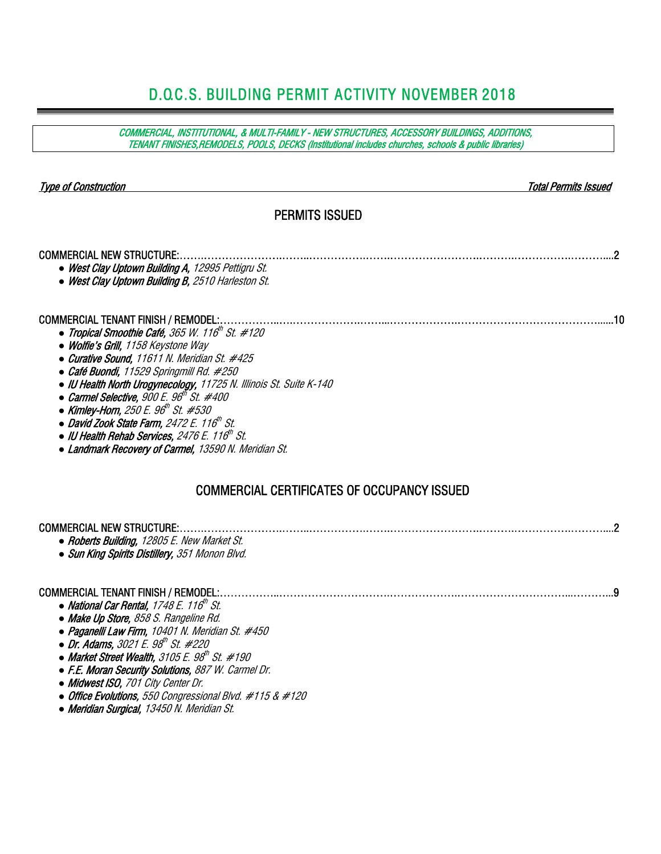# D.O.C.S. BUILDING PERMIT ACTIVITY NOVEMBER 2018

| COMMERCIAL, INSTITUTIONAL, & MULTI-FAMILY - NEW STRUCTURES, ACCESSORY BUILDINGS, ADDITIONS,<br>TENANT FINISHES, REMODELS, POOLS, DECKS (Institutional includes churches, schools & public libraries)                                                                                                                                                                                                                                                                                                                                                                                                  |
|-------------------------------------------------------------------------------------------------------------------------------------------------------------------------------------------------------------------------------------------------------------------------------------------------------------------------------------------------------------------------------------------------------------------------------------------------------------------------------------------------------------------------------------------------------------------------------------------------------|
| <b>Type of Construction</b><br><b>Total Permits Issued</b><br><b>PERMITS ISSUED</b>                                                                                                                                                                                                                                                                                                                                                                                                                                                                                                                   |
|                                                                                                                                                                                                                                                                                                                                                                                                                                                                                                                                                                                                       |
| <b>COMMERCIAL NEW STRUCTURE:</b><br>• West Clay Uptown Building A, 12995 Pettigru St.<br>• West Clay Uptown Building B, 2510 Harleston St.                                                                                                                                                                                                                                                                                                                                                                                                                                                            |
| <b>COMMERCIAL TENANT FINISH / REMODEL:</b><br>.10<br>• Tropical Smoothie Café, 365 W. 116 <sup>th</sup> St. #120<br>• Wolfie's Grill, 1158 Keystone Way<br>• Curative Sound, 11611 N. Meridian St. #425<br>• Café Buondi, 11529 Springmill Rd. #250<br>• IU Health North Urogynecology, 11725 N. Illinois St. Suite K-140<br>• Carmel Selective, $900 E. 96th St. #400$<br>• Kimley-Horn, 250 E. 96 <sup>th</sup> St. #530<br>• David Zook State Farm, 2472 E. 116 <sup>th</sup> St.<br>$\bullet$ IU Health Rehab Services, 2476 E. 116th St.<br>• Landmark Recovery of Carmel, 13590 N. Meridian St. |
| <b>COMMERCIAL CERTIFICATES OF OCCUPANCY ISSUED</b>                                                                                                                                                                                                                                                                                                                                                                                                                                                                                                                                                    |
| <b>COMMERCIAL NEW STRUCTURE:</b><br>• Roberts Building, 12805 E. New Market St.<br>• Sun King Spirits Distillery, 351 Monon Blvd.                                                                                                                                                                                                                                                                                                                                                                                                                                                                     |
| <b>COMMERCIAL TENANT FINISH / REMODEL:</b><br>• National Car Rental, $1748E$ . $116th St$ .<br>• Make Up Store, 858 S. Rangeline Rd.<br>• Paganelli Law Firm, 10401 N. Meridian St. #450<br>• Dr. Adams, 3021 E. 98 <sup>th</sup> St. #220<br>• Market Street Wealth, 3105 E. $98^{\prime\prime\prime}$ St. #190<br>• F.E. Moran Security Solutions, 887 W. Carmel Dr.<br>• Midwest ISO, 701 City Center Dr.<br>• Office Evolutions, 550 Congressional Blvd. $#115 & #120$<br>• Meridian Surgical, 13450 N. Meridian St.                                                                              |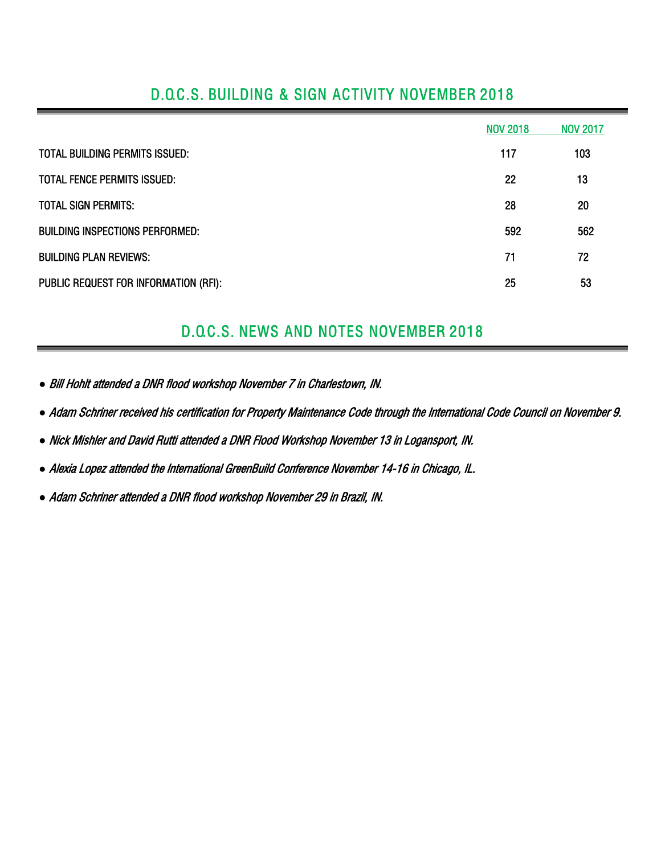|                                        | <b>NOV 2018</b> | <b>NOV 2017</b> |
|----------------------------------------|-----------------|-----------------|
| TOTAL BUILDING PERMITS ISSUED:         | 117             | 103             |
| TOTAL FENCE PERMITS ISSUED:            | 22              | 13              |
| <b>TOTAL SIGN PERMITS:</b>             | 28              | 20              |
| <b>BUILDING INSPECTIONS PERFORMED:</b> | 592             | 562             |
| <b>BUILDING PLAN REVIEWS:</b>          | 71              | 72              |
| PUBLIC REQUEST FOR INFORMATION (RFI):  | 25              | 53              |

## D.O.C.S. BUILDING & SIGN ACTIVITY NOVEMBER 2018

# D.O.C.S. NEWS AND NOTES NOVEMBER 2018

*●* Bill Hohlt attended a DNR flood workshop November 7 in Charlestown, IN.

*●* Adam Schriner received his certification for Property Maintenance Code through the International Code Council on November 9.

*●* Nick Mishler and David Rutti attended a DNR Flood Workshop November 13 in Logansport, IN.

*●* Alexia Lopez attended the International GreenBuild Conference November 14-16 in Chicago, IL.

*●* Adam Schriner attended a DNR flood workshop November 29 in Brazil, IN.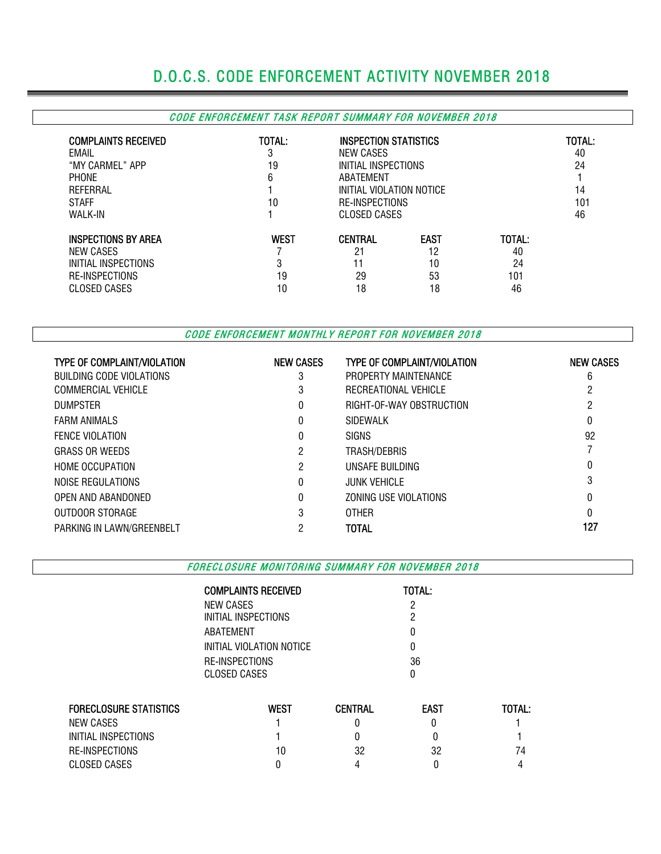# D.O.C.S. CODE ENFORCEMENT ACTIVITY NOVEMBER 2018

#### CODE ENFORCEMENT TASK REPORT SUMMARY FOR NOVEMBER 2018

| <b>COMPLAINTS RECEIVED</b><br>EMAIL<br>"MY CARMEL" APP<br><b>PHONE</b><br>REFERRAL<br><b>STAFF</b><br>WALK-IN | TOTAL:<br>3<br>19<br>6<br>10 | <b>INSPECTION STATISTICS</b><br>NEW CASES<br>INITIAL INSPECTIONS<br>ABATEMENT<br>INITIAL VIOLATION NOTICE<br><b>RE-INSPECTIONS</b><br>CLOSED CASES | TOTAL:<br>40<br>24<br>14<br>101<br>46 |                                 |  |
|---------------------------------------------------------------------------------------------------------------|------------------------------|----------------------------------------------------------------------------------------------------------------------------------------------------|---------------------------------------|---------------------------------|--|
| <b>INSPECTIONS BY AREA</b><br>NEW CASES<br>INITIAL INSPECTIONS<br><b>RE-INSPECTIONS</b><br>CLOSED CASES       | <b>WEST</b><br>3<br>19<br>10 | <b>CENTRAL</b><br>21<br>11<br>29<br>18                                                                                                             | <b>EAST</b><br>12<br>10<br>53<br>18   | TOTAL:<br>40<br>24<br>101<br>46 |  |

CODE ENFORCEMENT MONTHLY REPORT FOR NOVEMBER 2018

| <b>TYPE OF COMPLAINT/VIOLATION</b> | <b>NEW CASES</b> | <b>TYPE OF COMPLAINT/VIOLATION</b> | <b>NEW CASES</b> |
|------------------------------------|------------------|------------------------------------|------------------|
| BUILDING CODE VIOLATIONS           | 3                | PROPERTY MAINTENANCE               | 6                |
| COMMERCIAL VEHICLE                 |                  | RECREATIONAL VEHICLE               |                  |
| <b>DUMPSTER</b>                    | 0                | RIGHT-OF-WAY OBSTRUCTION           |                  |
| <b>FARM ANIMALS</b>                |                  | <b>SIDEWALK</b>                    |                  |
| <b>FENCE VIOLATION</b>             | 0                | <b>SIGNS</b>                       | 92               |
| <b>GRASS OR WEEDS</b>              | 2                | TRASH/DEBRIS                       |                  |
| <b>HOME OCCUPATION</b>             | 2                | UNSAFE BUILDING                    | 0                |
| NOISE REGULATIONS                  | 0                | <b>JUNK VEHICLE</b>                | 3                |
| OPEN AND ABANDONED                 |                  | ZONING USE VIOLATIONS              | 0                |
| OUTDOOR STORAGE                    | 3                | <b>OTHER</b>                       | 0                |
| PARKING IN LAWN/GREENBELT          | റ                | <b>TOTAL</b>                       | 127              |

FORECLOSURE MONITORING SUMMARY FOR NOVEMBER 2018

COMPLAINTS RECEIVED TOTAL:

|                               | ,,,,,,,,,,,,,,,,,,,,,,,, | .              |             |        |  |  |  |  |  |  |
|-------------------------------|--------------------------|----------------|-------------|--------|--|--|--|--|--|--|
|                               | <b>NEW CASES</b>         |                |             |        |  |  |  |  |  |  |
|                               | INITIAL INSPECTIONS      |                |             |        |  |  |  |  |  |  |
|                               | ABATEMENT                |                |             |        |  |  |  |  |  |  |
|                               | INITIAL VIOLATION NOTICE |                |             |        |  |  |  |  |  |  |
|                               | RE-INSPECTIONS           |                | 36          |        |  |  |  |  |  |  |
|                               | CLOSED CASES             |                | $\Omega$    |        |  |  |  |  |  |  |
|                               |                          |                |             |        |  |  |  |  |  |  |
| <b>FORECLOSURE STATISTICS</b> | <b>WEST</b>              | <b>CENTRAL</b> | <b>EAST</b> | TOTAL: |  |  |  |  |  |  |
| NEW CASES                     |                          |                |             |        |  |  |  |  |  |  |
| INITIAL INSPECTIONS           |                          |                |             |        |  |  |  |  |  |  |
| RE-INSPECTIONS                | 10                       | 32             | 32          | 74     |  |  |  |  |  |  |
| <b>CLOSED CASES</b>           |                          | 4              |             |        |  |  |  |  |  |  |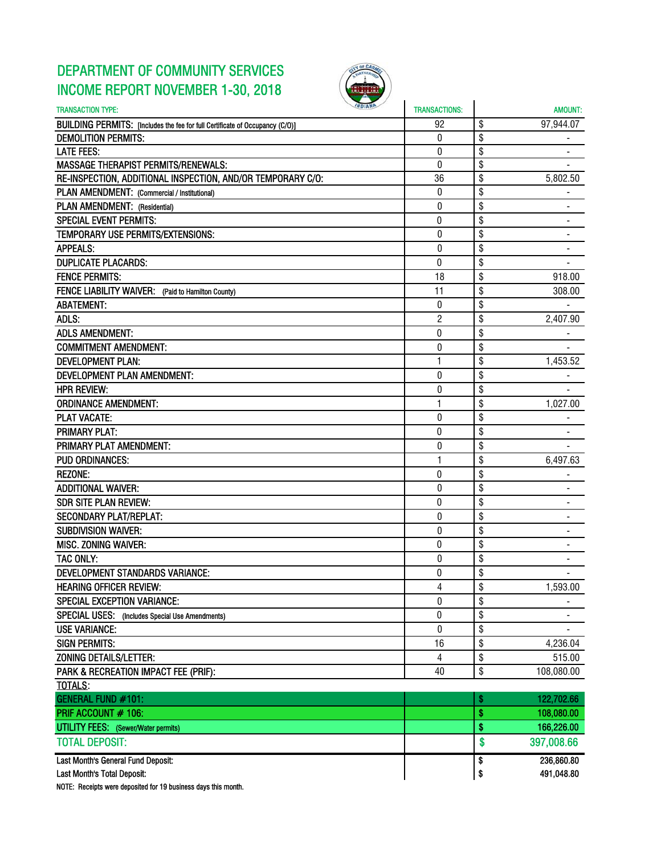# DEPARTMENT OF COMMUNITY SERVICES INCOME REPORT NOVEMBER 1-30, 2018



| <b>INDIANA</b><br><b>TRANSACTION TYPE:</b>                                   | <b>TRANSACTIONS:</b> | <b>AMOUNT:</b>                     |
|------------------------------------------------------------------------------|----------------------|------------------------------------|
| BUILDING PERMITS: [Includes the fee for full Certificate of Occupancy (C/O)] | 92                   | \$<br>97,944.07                    |
| <b>DEMOLITION PERMITS:</b>                                                   | 0                    | \$                                 |
| <b>LATE FEES:</b>                                                            | 0                    | \$                                 |
| <b>MASSAGE THERAPIST PERMITS/RENEWALS:</b>                                   | $\boldsymbol{0}$     | \$                                 |
| RE-INSPECTION, ADDITIONAL INSPECTION, AND/OR TEMPORARY C/O:                  | 36                   | \$<br>5,802.50                     |
| PLAN AMENDMENT: (Commercial / Institutional)                                 | $\boldsymbol{0}$     | \$                                 |
| PLAN AMENDMENT: (Residential)                                                | 0                    | \$                                 |
| <b>SPECIAL EVENT PERMITS:</b>                                                | $\pmb{0}$            | \$<br>$\qquad \qquad \blacksquare$ |
| TEMPORARY USE PERMITS/EXTENSIONS:                                            | 0                    | \$<br>$\overline{\phantom{a}}$     |
| <b>APPEALS:</b>                                                              | 0                    | \$                                 |
| <b>DUPLICATE PLACARDS:</b>                                                   | $\mathbf{0}$         | \$                                 |
| <b>FENCE PERMITS:</b>                                                        | 18                   | \$<br>918.00                       |
| FENCE LIABILITY WAIVER: (Paid to Hamilton County)                            | 11                   | \$<br>308.00                       |
| <b>ABATEMENT:</b>                                                            | 0                    | \$                                 |
| ADLS:                                                                        | $\overline{2}$       | \$<br>2,407.90                     |
| <b>ADLS AMENDMENT:</b>                                                       | 0                    | \$                                 |
| <b>COMMITMENT AMENDMENT:</b>                                                 | 0                    | \$                                 |
| <b>DEVELOPMENT PLAN:</b>                                                     | 1                    | \$<br>1,453.52                     |
| <b>DEVELOPMENT PLAN AMENDMENT:</b>                                           | 0                    | \$                                 |
| <b>HPR REVIEW:</b>                                                           | 0                    | \$                                 |
| <b>ORDINANCE AMENDMENT:</b>                                                  | 1                    | \$<br>1,027.00                     |
| <b>PLAT VACATE:</b>                                                          | 0                    | \$                                 |
| <b>PRIMARY PLAT:</b>                                                         | 0                    | \$                                 |
| PRIMARY PLAT AMENDMENT:                                                      | 0                    | \$                                 |
| <b>PUD ORDINANCES:</b>                                                       | 1                    | \$<br>6,497.63                     |
| <b>REZONE:</b>                                                               | 0                    | \$                                 |
| <b>ADDITIONAL WAIVER:</b>                                                    | 0                    | \$                                 |
| <b>SDR SITE PLAN REVIEW:</b>                                                 | 0                    | \$                                 |
| <b>SECONDARY PLAT/REPLAT:</b>                                                | $\pmb{0}$            | \$                                 |
| <b>SUBDIVISION WAIVER:</b>                                                   | 0                    | \$<br>$\qquad \qquad \blacksquare$ |
| <b>MISC. ZONING WAIVER:</b>                                                  | 0                    | \$<br>$\blacksquare$               |
| TAC ONLY:                                                                    | 0                    | \$                                 |
| DEVELOPMENT STANDARDS VARIANCE:                                              | 0                    | \$                                 |
| <b>HEARING OFFICER REVIEW:</b>                                               | 4                    | \$<br>1,593.00                     |
| <b>SPECIAL EXCEPTION VARIANCE:</b>                                           | $\mathbf 0$          | \$                                 |
| <b>SPECIAL USES:</b><br>(Includes Special Use Amendments)                    | 0                    | \$<br>۰                            |
| <b>USE VARIANCE:</b>                                                         | 0                    | \$                                 |
| <b>SIGN PERMITS:</b>                                                         | 16                   | \$<br>4,236.04                     |
| ZONING DETAILS/LETTER:                                                       | 4                    | \$<br>515.00                       |
| PARK & RECREATION IMPACT FEE (PRIF):                                         | 40                   | \$<br>108,080.00                   |
| TOTALS:                                                                      |                      |                                    |
| <b>GENERAL FUND #101:</b>                                                    |                      | \$<br>122,702.66                   |
| PRIF ACCOUNT # 106:                                                          |                      | \$<br>108,080.00                   |
| <b>UTILITY FEES:</b> (Sewer/Water permits)                                   |                      | \$<br>166,226.00                   |
|                                                                              |                      |                                    |
| <b>TOTAL DEPOSIT:</b>                                                        |                      | \$<br>397,008.66                   |
| Last Month's General Fund Deposit:                                           |                      | 236,860.80<br>\$                   |
| Last Month's Total Deposit:                                                  |                      | \$<br>491,048.80                   |

NOTE: Receipts were deposited for 19 business days this month.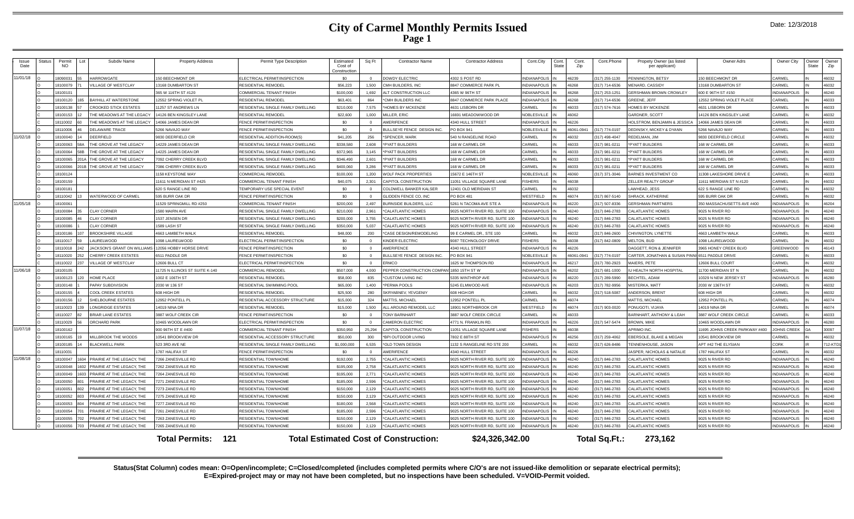### **City of Carmel Monthly Permits Issued Page 1**

| Date: 12/3/2018 |  |
|-----------------|--|
|-----------------|--|

| Issue<br>Date | Status | Permit<br><b>NO</b> | Subdiv Name                            | <b>Property Address</b>          | Permit Type Description                          | Estimated<br>Cost of<br>Constructio | Sq Ft        | <b>Contractor Name</b>                           | <b>Contractor Address</b>             | Cont.City                           | Cont.<br>Cont.<br>State<br>Zip | Cont.Phone                     | Propety Owner (as listed<br>per applicant) | Owner Adrs                              | Owner City                    | Owner<br>State | Owner<br>Zip   |
|---------------|--------|---------------------|----------------------------------------|----------------------------------|--------------------------------------------------|-------------------------------------|--------------|--------------------------------------------------|---------------------------------------|-------------------------------------|--------------------------------|--------------------------------|--------------------------------------------|-----------------------------------------|-------------------------------|----------------|----------------|
| 11/01/18      |        | 8090031             | HARROWGATE                             | 150 BEECHMONT DR                 | ELECTRICAL PERMIT/INSPECTION                     | \$0                                 | $\Omega$     | <b>DOWDY ELECTRIC</b>                            | 4302 S POST RD                        | <b>INDIANAPOLIS</b>                 | 46239                          | 317) 255-1130                  | <b>ENNINGTON, BETSY</b>                    | 50 BEECHMONT DR                         | CARMEL                        |                | 46032          |
|               |        | 8100079             | <b>ILLAGE OF WESTCLAY</b>              | 13168 DUMBARTON ST               | RESIDENTIAL REMODEI                              | \$56,223                            | 1.500        | CMH BUILDERS, INC                                | 8847 COMMERCE PARK PL                 | <b>INDIANAPOLIS</b>                 | 46268                          | (317) 714-6536                 | <b>IENARD, CASSIDY</b>                     | 3168 DUMBARTON ST                       | CARMEL                        |                | 46032          |
|               |        | 18100101            |                                        | 365 W 116TH ST #120              | COMMERCIAL TENANT FINISH                         | \$100,000                           | 1.692        | <b>ILT CONSTRUCTION LLC</b>                      | 4365 W 96TH ST                        | INDIANAPOLIS                        | 46268                          | (317) 253-1251                 | <b>SERSHMAN BROWN CROWLEY</b>              | 600 E 96TH ST #150                      | <b>INDIANAPOLIS</b>           |                | 46240          |
|               |        | 8100120             | <b>BAYHILL AT WATERSTONE</b>           | 12552 SPRING VIOLET PL           | RESIDENTIAL REMODEL                              | \$63,401                            | 864          | CMH BUILDERS INC                                 | 8847 COMMERCE PARK PLACE              | <b>INDIANAPOLIS</b>                 | 46268                          | (317) 714-6536                 | REENE, JEFF                                | <b>12552 SPRING VIOLET PLACE</b>        | CARMEL                        |                | 46033          |
|               |        | 8100138             | CROOKED STICK ESTATES                  | 11257 ST ANDREWS LN              | RESIDENTIAL SINGLE FAMILY DWELLING               | \$210,000                           | 7,575        | HOMES BY MCKENZIE                                | 4631 LISBORN DR                       | CARMEL                              | 46033                          | 317) 574-7616                  | <b>IOMES BY MCKENZIE</b>                   | <b>1631 LISBORN DR</b>                  | CARMEL                        |                | 46033          |
|               |        | 8100153             | THE MEADOWS AT THE LEGAC               | 14126 BEN KINGSLEY LANE          | <b>RESIDENTIAL REMODEL</b>                       | \$22,600                            | 1.000        | MILLER, ERIC                                     | 16691 MEADOWWOOD DR                   | NORLESVILLE                         | 46062                          |                                | <b>GARDNER SCOTT</b>                       | 14126 BEN KINGSLEY LANE                 | CARMEI                        |                | 46032          |
|               |        | 8110002             | THE MEADOWS AT THE LEGACY              | 14066 JAMES DEAN DR              | <b>ENCE PERMIT/INSPECTION</b>                    | \$0                                 | $\Omega$     | <b>MERIFENCE</b>                                 | 4340 HULL STREET                      | <b>INDIANAPOLIS</b>                 | 46226                          |                                | <b>HOLSTROM, BENJAMIN &amp; JESSICA</b>    | 4066 JAMES DEAN DR                      | CARMEI                        |                | 46033          |
|               |        | 8110006             | <b>DELAWARE TRACE</b>                  | 266 NAVAJO WAY                   | <b>ENCE PERMIT/INSPECTION</b>                    | \$0                                 | $\Omega$     | <b>BULLSEYE FENCE DESIGN INC.</b>                | <b>PO BOX 941</b>                     | <b>NOBLESVILLE</b>                  | 46061-0941                     | (317) 774-0197                 | EDINSKY, MICKEY & DYANN                    | 266 NAVAJO WAY                          | CARME                         |                | 46033          |
| 11/02/18      |        | 8100040             | DEERFIELD                              | 9830 DEERFIELD CIR               | RESIDENTIAL ADDITION-ROOM(S)                     | \$41,205                            | 256          | *SPENCER, MARK                                   | 540 N RANGELINE ROAD                  | CARMEL                              | 46032                          | (317) 498-4047                 | <b>ALL MAN IN</b>                          | 9830 DEERFIELD CIRCLE                   | CARMEL                        |                | 46032          |
|               |        | 8100063             | THE GROVE AT THE LEGACY                | 14229 JAMES DEAN DR              | RESIDENTIAL SINGLE FAMILY DWELLING               | \$338,580                           | 2.608        | PYATT BUILDERS                                   | 168 W CARMEL DR                       | CARMEL                              | 46033                          | (317) 981-0211                 | PYATT BUILDERS                             | <b>168 W CARMEL DR</b>                  | CARMEL                        |                | 46033          |
|               |        | 8100064             | THE GROVE AT THE LEGACY                | 14225 JAMES DEAN DR              | RESIDENTIAL SINGLE FAMILY DWELLING               | \$372,965                           | 3.145        | *PYATT BUILDERS                                  | 168 W CARMEL DR                       | CARMEL                              | 46033                          | 317) 981-0211                  | PYATT BUILDERS                             | <b>168 W CARMEL DR</b>                  | CARMEL                        |                | 46033          |
|               |        | 8100065             | THE GROVE AT THE LEGACY                | 7092 CHERRY CREEK BLVD           | RESIDENTIAL SINGLE FAMILY DWELLING               | \$346,490                           | 2.601        | PYATT BUILDERS                                   | 168 W CARMEL DR                       | CARMEL                              | 46033                          | 317) 981-0211                  | PYATT BLIII DERS                           | <b>ISS W CARMEL DR</b>                  | CARMEL                        |                | 46033          |
|               |        | 8100066             | THE GROVE AT THE LEGACY                | 7086 CHERRY CREEK BLVD           | RESIDENTIAL SINGLE FAMILY DWELLING               | \$400,060                           | 3.286        | <b>PYATT BUILDERS</b>                            | 168 W CARMEL DR                       | CARMEL                              | 46033                          | (317) 981-0211                 | PYATT BUILDERS                             | <b>168 W CARMEL DR</b>                  | CARMEI                        |                | 46033          |
|               |        | 18100124            |                                        | 1158 KEYSTONE WAY                | COMMERCIAL REMODEL                               | \$100,000                           | 1.200        | WOLF PACK PROPERTIES                             | 15672 E 146TH ST                      | NOBLESVILLE                         | 46060                          | (317) 371-3046                 | <b>BARNES INVESTMENT CO</b>                | 11308 LAKESHORE DRIVE E                 | CARMEL                        |                | 46033          |
|               |        | 18100159            |                                        | 11611 N MERIDIAN ST #425         | COMMERCIAL TENANT FINISH                         | \$40,075                            | 2.301        | <b>CAPITOL CONSTRUCTION</b>                      | 11051 VILLAGE SQUARE LANE             | <b>FISHERS</b>                      | 46038                          |                                | <b>ZELLER REALTY GROUP</b>                 | 1611 MERIDIAN ST N #120                 | CARMEI                        |                | 46032          |
|               |        | 8100181             |                                        | 620 S RANGE LINE RD              | <b>FEMPORARY USE SPECIAL EVENT</b>               | \$0                                 | $\Omega$     | COLDWELL BANKER KALSER                           | 12401 OLD MERIDIAN ST                 | CARMEL                              | 46032                          |                                | AWHEAD, JESS                               | 622 S RANGE LINE RD                     | CARMEL                        |                | 46032          |
|               |        | 8110042             | <b>WATERWOOD OF CARMEL</b>             | 595 BURR OAK DR                  | <b>ENCE PERMIT/INSPECTION</b>                    | \$0                                 | $\Omega$     | GLIDDEN FENCE CO. INC                            | PO BOX 481                            | WESTFIELD                           | 46074                          | (317) 867-5140                 | SHRACK, KATHERINE                          | 595 BURR OAK DR                         | CARMEL                        |                | 46032          |
| 11/05/18      |        | 8100061             |                                        | 1529 SPRINGMILL RD #250          | COMMERCIAL TENANT FINISH                         | \$200,000                           | 2.497        | <b>JURNSIDE BUILDERS, LLC</b>                    | 5261 N TACOMA AVE STE A               | <b>INDIANAPOLIS</b>                 | 46220                          | 317) 507-8336                  | <b>ERSHMAN PARTNERS</b>                    | 50 MASSACHUSETTS AVE #400               | <b>INDIANAPOLIS</b>           |                | 46204          |
|               |        | 8100084             | <b>CLAY CORNER</b>                     | 1580 MAIRN AVE                   | RESIDENTIAL SINGLE FAMILY DWELLING               | \$210,000                           | 2.961        | CALATI ANTIC HOMES                               | 9025 NORTH RIVER RD, SUITE 100        | <b>INDIANAPOLIS</b>                 | 46240                          | 317) 846-2783                  | ALATI ANTIC HOMES                          | 9025 N RIVER RD                         | <b>INDIANAPOLIS</b>           |                | 46240          |
|               |        | 8100085             | <b>CLAY CORNER</b>                     | 1537 JENSEN DR                   | RESIDENTIAL SINGLE FAMILY DWELLING               | \$200,000                           | 3.755        | CALATLANTIC HOMES                                | 9025 NORTH RIVER RD, SUITE 100        | <b>INDIANAPOLIS</b>                 | 46240                          | (317) 846-2783                 | ALATLANTIC HOMES                           | 9025 N RIVER RD                         | <b>INDIANAPOLIS</b>           |                | 46240          |
|               |        | 8100086             | <b>CLAY CORNER</b>                     | 1589 LASH ST                     | RESIDENTIAL SINGLE FAMILY DWELLING               | \$350,000                           | 5.037        | CALATLANTIC HOMES                                | 9025 NORTH RIVER RD, SUITE 100        | <b>INDIANAPOLIS</b>                 | 46240                          | (317) 846-2783                 | <b>CALATLANTIC HOMES</b>                   | 9025 N RIVER RD                         | <b>INDIANAPOLIS</b>           |                | 46240          |
|               |        | 8100186             | BROOKSHIRF VILLAGE                     | <b>4663 LAMBETH WALK</b>         | RESIDENTIAL REMODEI                              | \$48,000                            | 200          | CASE DESIGN/REMODELING                           | 99 E CARMEL DR., STE 100              | CARMEL                              | 46032                          | 317) 846-2600                  | HIVINGTON, LYNETTE                         | 663 LAMBETH WALK                        | CARMEL                        |                | 46033          |
|               |        | 8110017             | AURELWOOD                              | 1098 LAURELWOOD                  | <b>I ECTRICAL PERMIT/INSPECTION</b>              | \$0                                 | $\Omega$     | <b>INDER ELECTRIC</b>                            | 9087 TECHNOLOGY DRIVE                 | <b>FISHERS</b>                      | 46038                          | 317) 842-0809                  | <b>MELTON, BUD</b>                         | 098 LAURELWOOD                          | CARMEL                        |                | 46032          |
|               |        | 8110018             | <b>ACKSON'S GRANT ON WILLIAMS</b>      | 12056 HOBBY HORSE DRIVE          | <b>FRICE PERMIT/INSPECTION</b>                   | \$0                                 | $\Omega$     | <b>MERIFENCE</b>                                 | 4340 HULL STREET                      | <b>INDIANAPOLIS</b>                 | 46226                          |                                | DAGGETT, RON & JENNIFER                    | 965 HONEY CREEK BLVD                    | <b>GREENWOOD</b><br>CARMEL    |                | 46143          |
|               |        | 8110020             | CHERRY CREEK ESTATES                   | 6511 PADDLE DR                   | <b>ENCE PERMIT/INSPECTION</b>                    | \$0                                 | $\Omega$     | <b>BULLSEYE FENCE DESIGN INC.</b>                | <b>PO BOX 941</b>                     | <b>NOBLESVILLE</b>                  | 46061-0941                     | (317) 774-0197                 | ARTER, JONATHAN & SUSAN PIN                | 6511 PADDLE DRIVE                       |                               |                | 46033          |
|               |        | 8110022             | <b>/ILLAGE OF WESTCLAY</b>             | 12606 BULL CT                    | <b>I ECTRICAL PERMIT/INSPECTION</b>              | \$0                                 | $\Omega$     | <b>ERMCO</b>                                     | 1625 W THOMPSON RD                    | <b>INDIANAPOLIS</b>                 | 46217                          | (317) 780-2923                 | <b>AAIFRS PETE</b>                         | <b>12606 BULL COURT</b>                 | CARMEL                        |                | 46032          |
| 11/06/18      |        | 8100105             |                                        | 11725 N ILLINOIS ST SUITE K-140  | COMMERCIAL REMODEL                               | \$507,000                           | 4.000        | <b>EPPER CONSTRUCTION COMPANI 1850 15TH ST W</b> |                                       | <b>INDIANAPOLIS</b>                 | 46202                          | (317) 681-1000                 | <b>HEALTH NORTH HOSPITAL</b>               | 1700 MERIDIAN ST N                      | CARMEL                        |                | 46032          |
|               |        | 8100123<br>8100148  | <b>HOME PLACE</b><br>PAPAY SURDIVISION | 1002 E 106TH ST<br>2030 W 136 ST | RESIDENTIAL REMODEL<br>RESIDENTIAL SWIMMING POOL | \$58,000<br>\$65,000                | 835<br>1.400 | CUSTOM LIVING INC<br>*PERMA POOLS                | 5335 WINTHROP AVE<br>5245 ELMWOOD AVE | <b>INDIANAPOLIS</b><br>INDIANAPOLIS | 46220<br>46203                 | 317) 289-5990<br>317) 782-9956 | ECHTEL, ADAM<br><b>JISTERKA MATT</b>       | 0329 N NEW JERSEY ST<br>2030 W 136TH ST | <b>INDIANAPOLIS</b><br>CARMEL |                | 46280<br>46032 |
|               |        | 8100155             | COOL CREEK ESTATES                     | 608 HIGH DR                      | <b>ESIDENTIAL REMODEL</b>                        | \$25,500                            | 280          | KRYABNEV, YEVGENIY                               | 608 HIGH DR                           | CARMEL                              | 46032                          | 317) 518-5087                  | <b>INDERSON RRENT</b>                      | <b>SOR HIGH DR</b>                      | CARMEI                        |                | 46032          |
|               |        | 8100156             | SHELBOURNE ESTATES                     | 12952 PONTELL PI                 | RESIDENTIAL ACCESSORY STRUCTURE                  | \$15,000                            | 324          | <b>ATTIS, MICHAEL</b>                            | 12952 PONTELL PL                      | CARMEL                              | 46074                          |                                | <b>IATTIS, MICHAEL</b>                     | <b>2952 PONTELL PI</b>                  | CARMEI                        |                | 46074          |
|               |        | 8110023             | ONGRIDGE ESTATES                       | 14019 NINA DR                    | RESIDENTIAL REMODEL                              | \$15,000                            | 1.500        | LL AROUND REMODEL LLC                            | 18901 NORTHBROOK CIR                  | WESTFIELD                           | 46074                          | (317) 903-0020                 | PONUGOTI, VIJAYA                           | 4019 NINA DR                            | CARMEL                        |                | 46074          |
|               |        | 18110027            | BRIAR LANE ESTATES                     | 3887 WOLF CREEK CIR              | FENCE PERMIT/INSPECTION                          | \$0                                 | $\sim$       | <b>CONY BARNHART</b>                             | 3887 WOLF CREEK CIRCLE                | CARMEL                              | 46033                          |                                | BARNHART, ANTHONY & LEAH                   | 3887 WOLF CREEK CIRCLE                  | CARMEL                        |                | 46033          |
|               |        | 8110029             | <b>DRCHARD PARK</b>                    | 10465 WOODLAWN DR                | ELECTRICAL PERMIT/INSPECTION                     | \$0                                 | $\Omega$     | <b>AMERON ELECTRIC</b>                           | 4771 N. FRANKLIN RD.                  | <b>INDIANAPOLIS</b>                 | 46226                          | 317) 547-5474                  | <b>BROWN, MIKE</b>                         | 0465 WOODLAWN DR                        | <b>INDIANAPOLIS</b>           |                | 46280          |
| 11/07/18      |        | 8100162             |                                        | 900 96TH ST F #400               | COMMERCIAL TENANT FINISH                         | \$350,950                           | 25,294       | CAPITOL CONSTRUCTION                             | 11051 VILLAGE SQUARE LANE             | <b>FISHERS</b>                      | 46038                          |                                | PRIMO INC                                  | 1695 JOHNS CREEK PARKWAY #400           | <b>JOHNS CREEK</b>            |                | 30097          |
|               |        | 8100165             | MILLBROOK THE WOODS                    | 10541 BROOKVIEW DR               | RESIDENTIAL ACCESSORY STRUCTURE                  | \$50,000                            | 300          | <b>BPI OUTDOOR LIVING</b>                        | 7802 F 88TH ST                        | <b>INDIANAPOLIS</b>                 | 46256                          | 317) 259-4062                  | <b>EBERSOLE, BLAKE &amp; MEGAN</b>         | 0541 BROOKVIEW DR                       | CARMEL                        |                | 46032          |
|               |        | 8100185             | <b>BLACKWELL PARK</b>                  | 523 3RD AVE NE                   | RESIDENTIAL SINGLE FAMILY DWELLING               | \$1,000,000                         | 6.535        | OLD TOWN DESIGN                                  | 1132 S RANGELINE RD STE 200           | CARMEL                              | 46032                          | 317) 626-8486                  | <b>ENNENHOUSE, JASON</b>                   | APT #42 THE ELYSIAN                     | <b>CORK</b>                   |                | 712-KTD        |
|               |        | 811003              |                                        | 1787 HALIFAX ST                  | FENCE PERMIT/INSPECTION                          | \$0                                 | $\Omega$     | <b>MERIFENCE</b>                                 | 4340 HULL STREET                      | INDIANAPOLIS                        | 46226                          |                                | ASPER. NICHOLAS & NATALIE                  | 1787 HALIFAX ST                         | CARMEL                        |                | 46032          |
| 11/08/18      |        | 8100047             | 604 PRAIRIE AT THE LEGACY. THE         | 7266 ZANESVILLE RD               | RESIDENTIAL TOWNHOME                             | \$192,000                           | 2.755        | CALATLANTIC HOMES                                | 9025 NORTH RIVER RD, SUITE 100        | <b>INDIANAPOLIS</b>                 | 46240                          | (317) 846-2783                 | CALATLANTIC HOMES                          | 9025 N RIVER RD                         | <b>INDIANAPOLIS</b>           |                | 46240          |
|               |        | 8100048             | 602 PRAIRIE AT THE LEGACY, THE         | 7262 ZANESVILLE RD               | RESIDENTIAL TOWNHOME                             | \$195,000                           | 2,758        | *CALATLANTIC HOMES                               | 9025 NORTH RIVER RD, SUITE 100        | <b>INDIANAPOLIS</b>                 | 46240                          | (317) 846-2783                 | CALATLANTIC HOMES                          | 9025 N RIVER RD                         | <b>INDIANAPOLIS</b>           |                | 46240          |
|               |        | 8100049             | 603 PRAIRIE AT THE LEGACY. THE         | 7264 ZANESVILLE RD               | RESIDENTIAL TOWNHOME                             | \$195,000                           | 2.771        | CALATLANTIC HOMES                                | 9025 NORTH RIVER RD, SUITE 100        | <b>INDIANAPOLIS</b>                 | 46240                          | 317) 846-2783                  | CALATLANTIC HOMES                          | 025 N RIVER RD                          | <b>INDIANAPOLIS</b>           |                | 46240          |
|               |        | 8100050             | PRAIRIE AT THE LEGACY. THE             | 7271 ZANESVILLE RD               | RESIDENTIAL TOWNHOME                             | \$185,000                           | 2.596        | CALATLANTIC HOMES                                | 9025 NORTH RIVER RD, SUITE 100        | <b>INDIANAPOLIS</b>                 | 46240                          | 317) 846-2783                  | <b>CALATLANTIC HOMES</b>                   | 025 N RIVER RD                          | <b>INDIANAPOLIS</b>           |                | 46240          |
|               |        | 810005              | PRAIRIE AT THE LEGACY. THE             | 7273 ZANESVILLE RD               | RESIDENTIAL TOWNHOME                             | \$150,000                           | 2.129        | CALATLANTIC HOMES                                | 9025 NORTH RIVER RD. SUITE 100        | <b>INDIANAPOLIS</b>                 | 46240                          | (317) 846-2783                 | ALATLANTIC HOMES                           | 9025 N RIVER RD                         | <b>INDIANAPOLIS</b>           |                | 46240          |
|               |        | 8100052             | PRAIRIE AT THE LEGACY, THE             | 7275 ZANESVILLE RD               | RESIDENTIAL TOWNHOME                             | \$150,000                           | 2.129        | CALATLANTIC HOMES                                | 9025 NORTH RIVER RD, SUITE 100        | <b>INDIANAPOLIS</b>                 | 46240                          | (317) 846-2783                 | ALATLANTIC HOMES                           | 9025 N RIVER RD                         | <b>INDIANAPOLIS</b>           |                | 46240          |
|               |        | 8100053             | PRAIRIE AT THE LEGACY. THE             | 7277 ZANESVILLE RD               | RESIDENTIAL TOWNHOME                             | \$180,000                           | 2.568        | CALATLANTIC HOMES                                | 9025 NORTH RIVER RD, SUITE 100        | <b>INDIANAPOLIS</b>                 | 46240                          | (317) 846-2783                 | <b>CALATLANTIC HOMES</b>                   | 9025 N RIVER RD                         | <b>INDIANAPOLIS</b>           |                | 46240          |
|               |        | 8100054             | PRAIRIE AT THE LEGACY, THE             | 7261 ZANESVILLE RD               | RESIDENTIAL TOWNHOME                             | \$185,000                           | 2,596        | CALATLANTIC HOMES                                | 9025 NORTH RIVER RD, SUITE 100        | <b>INDIANAPOLIS</b>                 | 46240                          | 317) 846-2783                  | <b>CALATLANTIC HOMES</b>                   | 9025 N RIVER RD                         | <b>INDIANAPOLIS</b>           |                | 46240          |
|               |        | 8100055             | PRAIRIE AT THE LEGACY. THE             | 263 ZANESVILLE RD                | RESIDENTIAL TOWNHOME                             | \$150,000                           | 2.129        | CALATLANTIC HOMES                                | 9025 NORTH RIVER RD, SUITE 100        | <b>INDIANAPOLIS</b>                 | 46240                          | 317) 846-2783                  | <b>CALATLANTIC HOMES</b>                   | 025 N RIVER RD                          | <b>INDIANAPOLIS</b>           |                | 46240          |
|               |        | 8100056             | PRAIRIE AT THE LEGACY. THE             | 7265 ZANESVILLE RD               | <b>RESIDENTIAL TOWNHOME</b>                      | \$150.00                            | 2129         | CALATI ANTIC HOMES                               | 9025 NORTH RIVER RD. SUITE 100        | INDIANAPOLIS                        | 46240                          | 317) 846-2783                  | ALATI ANTIC HOMES                          | 1025 N RIVER RD                         | NDIANAPOLIS                   |                | 46240          |
|               |        |                     |                                        |                                  |                                                  |                                     |              |                                                  |                                       |                                     |                                |                                |                                            |                                         |                               |                |                |
|               |        |                     |                                        | 121<br><b>Total Permits:</b>     |                                                  |                                     |              | <b>Total Estimated Cost of Construction:</b>     | \$24,326,342.00                       |                                     |                                | Total Sq.Ft.:                  | 273.162                                    |                                         |                               |                |                |

**Status(Stat Column) codes mean: O=Open/incomplete; C=Closed/completed (includes completed permits where C/O's are not issued-like demolition or separate electrical permits); E=Expired-project may or may not have been completed, but no inspections have been scheduled. V=VOID-Permit voided.**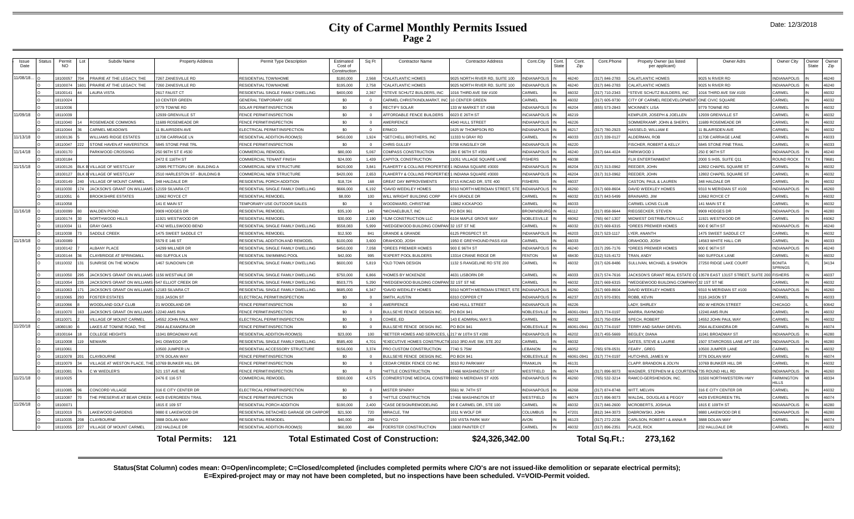### **City of Carmel Monthly Permits Issued Page 2**

|  | Date: 12/3/2018 |
|--|-----------------|
|--|-----------------|

| Issue<br>Date | Status | Permit<br>NO. | Subdiv Name                      | <b>Property Address</b>        | Permit Type Description                     | Estimated<br>Cost of<br>Construction | Sq Ft          | <b>Contractor Name</b>                               | <b>Contractor Address</b>      | Cont.City           | Cont.<br>State | Cont.<br>Zip | Cont.Phone    | Propety Owner (as listed<br>per applicant) | Owner Adrs                        | Owner City               | Owner<br><b>State</b> | Owner<br>Zip |
|---------------|--------|---------------|----------------------------------|--------------------------------|---------------------------------------------|--------------------------------------|----------------|------------------------------------------------------|--------------------------------|---------------------|----------------|--------------|---------------|--------------------------------------------|-----------------------------------|--------------------------|-----------------------|--------------|
| 11/08/18.     |        | 100057        | PRAIRIE AT THE LEGACY. THE       | 267 ZANESVILLE RD              | <b>ESIDENTIAL TOWNHOME</b>                  | \$180,000                            | 2.568          | *CALATI ANTIC HOMES                                  | 025 NORTH RIVER RD, SUITE 100  | <b>INDIANAPOLIS</b> |                | 46240        | 17) 846-2783  | CALATLANTIC HOMES                          | 1025 N RIVER RD                   | NDIANAPOLIS              |                       | 46240        |
|               |        | 8100074       | PRAIRIE AT THE LEGACY. THE       | 260 ZANESVILLE RD              | RESIDENTIAL TOWNHOME                        | \$195,000                            | 2.758          | *CALATLANTIC HOMES                                   | 9025 NORTH RIVER RD, SUITE 100 | <b>INDIANAPOLIS</b> |                | 46240        | 317) 846-2783 | <b>CALATLANTIC HOMES</b>                   | 9025 N RIVER RD                   | <b>NDIANAPOLIS</b>       |                       | 46240        |
|               |        | 8100141       | <b>AURA VISTA</b>                | 2617 FAUST CT                  | RESIDENTIAL SINGLE FAMILY DWELLING          | \$400,000                            | 2.367          | *STEVE SCHUTZ BUILDERS. INC                          | 1016 THIRD AVE SW #100         | CARMEL              |                | 46032        | 317) 710-2343 | *STEVE SCHUTZ BUILDERS, INC                | 1016 THIRD AVE SW #100            | ARMEI                    |                       | 46032        |
|               |        | 8110024       |                                  | 0 CENTER GREEN                 | <b>GENERAL TEMPORARY USE</b>                | \$0                                  | $\Omega$       | CARMEL CHRISTKINDLMARKT. INC                         | 10 CENTER GREEN                | CARMEL              |                | 46032        | 317) 605-9730 | CITY OF CARMEL REDEVELOPMENT               | ONE CIVIC SQUARE                  | <b>ARMEL</b>             |                       | 46032        |
|               |        | 8110036       |                                  | 9779 TOWNE RD                  | SOLAR PERMIT/INSPECTION                     | \$0                                  | $\Omega$       | RECTIFY SOLAR                                        | 133 W MARKET ST #268           | <b>INDIANAPOLIS</b> |                | 46204        | 355) 573-2843 | <b>MCKINNEY, LISA</b>                      | 9779 TOWNE RD                     | CARMEL                   |                       | 46032        |
| 11/09/18      |        | 8110039       |                                  | 2939 GRENVILLE ST              | <b>ENCE PERMIT/INSPECTION</b>               | \$0                                  | $\Omega$       | AFFORDABLE FENCE BUILDERS                            | 6023 E 26TH ST                 | <b>INCIANAPOLIS</b> |                | 46219        |               | KEMPLER, JOSEPH & JOELLEN                  | 2939 GRENVILLE ST                 | ARMEL                    |                       | 46032        |
|               |        | 8110040       | ROSEMEADE COMMONS                | 1689 ROSEMEADE DR              | <b>ENCE PERMIT/INSPECTION</b>               | \$0                                  | $\Omega$       | <b>AMERIFENCE</b>                                    | 4340 HULL STREET               | <b>INDIANAPOLIS</b> |                | 46226        |               | SOMMERKAMP, JOHN & SHERYL                  | 1689 ROSEMEADE DF                 | CARMEL                   |                       | 46032        |
|               |        | 8110044       | ARMEL MEADOWS                    | 1 BLAIRSDEN AVE                | ELECTRICAL PERMIT/INSPECTION                | \$0                                  | $\overline{0}$ | <b>FRMCO</b>                                         | 625 W THOMPSON RD              | <b>INDIANAPOLIS</b> |                | 46217        | 317) 780-2923 | HASSELD, WILLIAM E                         | 1 BLAIRSDEN AVE                   | <b>ARMEI</b>             |                       | 46032        |
| 11/13/18      |        | 8100136       | VILLIAMS RIDGE ESTATES           | 1708 CARRIAGE IN               | RESIDENTIAL ADDITION-ROOM(S)                | \$450,000                            | 1.924          | *GETCHELL BROTHERS, INC                              | 1333 N GRAY RD                 | CARMEL              |                | 46033        | 317) 339-0127 | <b>ILDERMAN, ROB</b>                       | 11708 CARRIAGE LANE               | ARMEL                    |                       | 46033        |
|               |        | 8110047       | STONE HAVEN AT HAVERSTICK        | 5845 STONE PINE TRL            | FENCE PERMIT/INSPECTION                     | \$0                                  | $\Omega$       | CHRIS GULLEY                                         | 5708 KINGSLEY DR               | <b>INDIANAPOLIS</b> |                | 46220        |               | FISCHER, ROBERT & KELLY                    | <b>5845 STONE PINE TRAIL</b>      | <b>ARMEL</b>             |                       | 46033        |
| 11/14/18      |        | 8100170       | PARKWOOD CROSSING                | 250 96TH ST F #530             | COMMERCIAL REMODEL                          | \$80,000                             | 5.067          | <b>COMPASS CONSTRUCTION</b>                          | 280 E 96TH ST #350             | <b>INDIANAPOLIS</b> |                | 46240        | 317) 644-4024 | PARKWOOD 1                                 | 250 E 96TH ST                     | <b>NDIANAPOLIS</b>       |                       | 46240        |
|               |        | 3100184       |                                  | 2472 E 116TH ST                | COMMERCIAL TENANT FINISH                    | \$24,000                             | 1.439          | CAPITOL CONSTRUCTION                                 | 1051 VILLAGE SQUARE LANE       | <b>ISHERS</b>       |                | 46038        |               | <b>FLIX ENTERTAINMENT</b>                  | 2000 S IH35, SUITE Q11            | <b>OUND ROCK</b>         |                       | 78681        |
| 11/15/18      |        | 3100126       | <b>VILLAGE OF WESTCLAY</b>       | 2995 PETTIGRU DR - BUILDING A  | COMMERCIAL NEW STRUCTURE                    | \$420,000                            | 3.841          | FLAHERTY & COLLINS PROPERTII                         | INDIANA SQUARE #3000           | <b>INDIANAPOLIS</b> |                | 46204        | 317) 313-0962 | REEDER, JOHN                               | <b>12802 CHAPEL SQUARE ST</b>     | ARMEI                    |                       | 46032        |
|               |        | 3100127       | <b>VILLAGE OF WESTCLAY</b>       | 2510 HARLESTON ST - BUILDING E | <b>COMMERCIAL NEW STRUCTURE</b>             | \$420,000                            | 2.653          | FLAHERTY & COLLINS PROPERTI                          | INDIANA SQUARE #3000           | <b>INDIANAPOLIS</b> |                | 46204        | 317) 313-0962 | REEDER, JOHN                               | <b>12802 CHAPEL SQUARE ST</b>     | CARMEL                   |                       | 46032        |
|               |        | 8100149       | <b>ILLAGE OF MOUNT CARMEL</b>    | 348 HALDALE DR                 | RESIDENTIAL PORCH ADDITION                  | \$18,724                             | 168            | <b>GREAT DAY IMPROVEMENTS</b>                        | 9715 KINCAID DR. STE 400       | <b>FISHERS</b>      |                | 46037        |               | CASTON, PAUL & LAUREN                      | 348 HALDALE DR                    | ARMEI                    |                       | 46032        |
|               |        | 8110030       | JACKSON'S GRANT ON WILLIAMS      | 12159 SILVARA CT               | RESIDENTIAL SINGLE FAMILY DWELLING          | \$666,000                            | 6,192          | *DAVID WEEKLEY HOMES                                 | 9310 NORTH MERIDIAN STREET, ST | <b>INDIANAPOLIS</b> |                | 46260        | 317) 669-8604 | DAVID WEEKLEY HOMES                        | 310 N MERIDIAN ST #100            | <b>INDIANAPOLIS</b>      |                       | 46260        |
|               |        | 8110051       | ROOKSHIRE ESTATES                | 2662 ROYCE CT                  | <b>ESIDENTIAL REMODEL</b>                   | \$8,000                              | $100 -$        | WILL WRIGHT BUILDING CORF                            | 474 GRADLE DR                  | CARMEL              |                | 46032        | 317) 843-5499 | BRAINARD, JIM                              | <b>12662 ROYCE CT</b>             | ARMEL                    |                       | 46032        |
|               |        | 8110058       |                                  | 141 E MAIN ST                  | <b>FEMPORARY USE OUTDOOR SALES</b>          | \$0                                  | $\Omega$       | <b>NOODWARD, CHRISTINE</b>                           | 3862 KICKAPOO                  | CARMEL              |                | 46033        |               | CARMEL LIONS CLUB                          | 141 MAIN ST E                     | <b>ARMEL</b>             |                       | 46032        |
| 11/16/18      |        | 8100099       | <b>WALDEN POND</b>               | 9909 HODGES DR                 | <b>RESIDENTIAL REMODEL</b>                  | \$35,100                             | 140            | *MICHAELBUILT, INC                                   | PO BOX 961                     | <b>BROWNSBUR</b>    |                | 46112        | 317) 858-9644 | RIEGSECKER, STEVEN                         | 9909 HODGES DF                    | <b>INDIANAPOLIS</b>      |                       | 46280        |
|               |        | 3100174       | NORTHWOOD HILLS                  | 1921 WESTWOOD DR               | RESIDENTIAL REMODEI                         | \$30,000                             | 2.190          | *SJM CONSTRUCTION LLC                                | 6104 MAPLE GROVE WAY           | NOBLESVILLE         |                | 46062        | (65) 667-1307 | MIDWEST DISTRIBUTION LLC                   | 11921 WESTWOOD DR                 | ARMEL                    |                       | 46062        |
|               |        | 8110034       | <b>GRAY OAKS</b>                 | 4742 WELLSWOOD BEND            | RESIDENTIAL SINGLE FAMILY DWELLING          | \$558,083                            | 5.999          | *WEDGEWOOD BUILDING COMPANI32 1ST ST NE              |                                | CARMEL              |                | 46032        | 317) 669-6315 | DREES PREMIER HOMES                        | 900 E 96TH ST                     | <b>INDIANAPOLIS</b>      |                       | 46240        |
|               |        | 8110038       | SADDLE CREEK                     | <b>1475 SWEET SADDLE CT</b>    | <b>ESIDENTIAL REMODE</b>                    | \$12,500                             | 841            | GRANDE & GRANDE                                      | 6125 PROSPECT ST.              | <b>INDIANAPOLIS</b> |                | 46203        | 317) 523-1117 | YER ANANTH                                 | <b>1475 SWEET SADDLE CT</b>       | ARMEI                    |                       | 46032        |
| 11/19/18      |        | 100089        |                                  | 579 E 146 ST                   | RESIDENTIAL ADDITION AND REMODE             | \$100,000                            | 3.600          | ORAHOOD, JOSH                                        | 950 E GREYHOUND PASS #18       | CARMEL              |                | 46033        |               | ORAHOOD, JOSH                              | 4563 WHITE HALL CIR               | ARMEL                    |                       | 46033        |
|               |        | 8100142       | <b>ALBANY PLACE</b>              | 4299 MILLNER DI                | RESIDENTIAL SINGLE FAMILY DWELLING          | \$450,000                            | 7.058          | *DREES PREMIER HOMES                                 | 900 E 96TH ST                  | <b>INDIANAPOLIS</b> |                | 46240        | 317) 295-7176 | DREES PREMIER HOMES                        | 900 E 96TH ST                     | <b>INDIANAPOLI</b>       |                       | 46240        |
|               |        | 3100144       | CLAYBRIDGE AT SPRINGMILL         | 660 SUFFOLK LN                 | RESIDENTIAL SWIMMING POOL                   | \$42,000                             | 995            | <b>EXPERT POOL BUILDERS</b>                          | 13314 CRANE RIDGE DR           | <b>FENTON</b>       |                | 48430        | 312) 515-4172 | <b><i>FRAN ANDY</i></b>                    | 660 SUFFOLK LANE                  | ARMEL                    |                       | 46032        |
|               |        | 8110032       | <b>SUNRISE ON THE MONON</b>      | 1467 SUNDOWN CIR               | RESIDENTIAL SINGLE FAMILY DWELLING          | \$600,000                            | 5.819          | *OLD TOWN DESIGN                                     | 132 S RANGELINE RD STE 200     | CARMEL              |                | 46032        | 317) 626-8486 | <b>SULLIVAN, MICHAEL &amp; SHARON</b>      | 27250 RIDGE LAKE COURT            | <b>BONITA</b><br>SPRINGS |                       | 34134        |
|               |        | 8110050       | ACKSON'S GRANT ON WILLIA         | 1156 WESTVALE DR               | RESIDENTIAL SINGLE FAMILY DWELLING          | \$750,000                            | 6.866          | <b>HOMES BY MCKENZIE</b>                             | 4631 LISBORN DF                | CARMEI              |                | 46033        | 317) 574-7616 | <b>ACKSON'S GRANT REAL ESTATE</b>          | 13578 EAST 131ST STREET, SUITE 20 | <b>ISHERS</b>            |                       | 46037        |
|               |        | 8110054       | <b>ACKSON'S GRANT ON WILLIAM</b> | 547 ELLIOT CREEK DR            | RESIDENTIAL SINGLE FAMILY DWELLING          | \$503,775                            | 5.290          | *WEDGEWOOD BUILDING COMPAN 32 1ST ST NE              |                                | CARMEL              |                | 46032        | 317) 669-6315 | WEDGEWOOD BUILDING COMPANY                 | 32 1ST ST NE                      | ARMEI                    |                       | 46032        |
|               |        | 8110063       | ACKSON'S GRANT ON WILLIAMS       | 183 SILVARA CT                 | RESIDENTIAL SINGLE FAMILY DWELLING          | \$685,000                            | 6.347          | *DAVID WEEKLEY HOMES                                 | 9310 NORTH MERIDIAN STREET, ST | <b>INDIANAPOLIS</b> |                | 46260        | 317) 669-8604 | DAVID WEEKLEY HOMES                        | 3310 N MERIDIAN ST #100           | <b>NDIANAPOLI</b>        |                       | 46260        |
|               |        | 8110065       | <b>OSTER ESTATES</b>             | 3116 JASON ST                  | ELECTRICAL PERMIT/INSPECTION                | \$0                                  | $\Omega$       | SMITH, AUSTIN                                        | 6310 COPPER CT                 | <b>INDIANAPOLIS</b> |                | 46237        | 317) 970-0301 | <b>OBB, KEVIN</b>                          | 116 JASON ST                      | <b>ARMEL</b>             |                       | 46033        |
|               |        | 8110066       | VOODLAND GOLF CLUB               | <b>WOODLAND DR</b>             | <b>ENCE PERMIT/INSPECTION</b>               | \$0                                  | $\Omega$       | AMERIFENCE                                           | 4340 HULL STREET               | <b>INDIANAPOLIS</b> |                | 46226        |               | ADY. SHIRLEY                               | 350 W HERON STREET                | <b>HICAGO</b>            |                       | 60642        |
|               |        | 3110070       | JACKSON'S GRANT ON WILLIAM       | 2240 AMS RUN                   | <b>ENCE PERMIT/INSPECTION</b>               | \$0                                  | $\Omega$       | BULLSEYE FENCE DESIGN INC.                           | PO BOX 941                     | <b>NOBLESVILLE</b>  |                | 46061-0941   | 17) 774-0197  | MARRA RAYMONE                              | <b>12240 AMS RUN</b>              | ARMEL                    |                       | 46032        |
|               |        | 811007        | <b>ILLAGE OF MOUNT CARMEL</b>    | 4552 JOHN PAUL WAY             | LECTRICAL PERMIT/INSPECTION                 | \$0                                  | $\Omega$       | COHEE, ED                                            | 143 E ADMIRAL WAY S            | CARMEL              |                | 46032        | 17) 750-0354  | SPECH, ROBERT                              | 4552 JOHN PAUL WAY                | ARMEI                    |                       | 46032        |
| 11/20/18      |        | 3080190       | AKES AT TOWNE ROAD. THE          | 564 ALEXANDRA DE               | <b>FRICE PERMIT/INSPECTION</b>              | \$0                                  | $\Omega$       | BULLSEYE FENCE DESIGN INC.                           | <b>PO BOX 941</b>              | NOBLESVILLE         |                | 46061-0941   | 317) 774-0197 | <b><i>TERRY AND SARAH GREVEL</i></b>       | 2564 ALEXANDRA DR                 | <b>ARMEL</b>             |                       | 46074        |
|               |        | 3100164       | COLLEGE HEIGHTS                  | 1041 BROADWAY AVE              | RESIDENTIAL ADDITION-ROOM(S)                | \$23,000                             | 100            | *BETTER HOMES AND SERVICES.                          | 217 W 10TH ST #280             | <b>INDIANAPOLIS</b> |                | 46202        | 317) 455-5669 | <b>BEGLEY, DIANA</b>                       | 1041 BROADWAY ST                  | <b>NDIANAPOLIS</b>       |                       | 46280        |
|               |        | 8110008       | <b>NEWARK</b>                    | 941 OSWEGO DR                  | RESIDENTIAL SINGLE FAMILY DWELLING          | \$585,400                            | 4.701          | *EXECUTIVE HOMES CONSTRUCTI 1010 3RD AVE SW, STE 202 |                                | CARMEL              |                | 46032        |               | GATES, STEVE & LAURIE                      | 507 STARCROSS LANE APT 150        | <b>INDIANAPOLIS</b>      |                       | 46280        |
|               |        | 8110061       |                                  | 0500 JUMPER LN                 | RESIDENTIAL ACCESSORY STRUCTURE             | \$156,000                            | 3.374          | PRO CUSTOM CONSTRUCTION                              | 740 S 75W                      | <b>EBANON</b>       |                | 46052        | 65) 978-0531  | FEARY, GREG                                | 0500 JUMPER LANE                  | ARMEI                    |                       | 46032        |
|               |        | 8110078       | CLAYBOURNE                       | 3776 DOLAN WAY                 | ENCE PERMIT/INSPECTION                      | \$0                                  | $\overline{0}$ | BULLSEYE FENCE DESIGN INC.                           | <b>O BOX 941</b>               | NOBLESVILLE         |                | 46061-0941   | 317) 774-0197 | <b>IUTCHINS, JAMES W</b>                   | 3776 DOLAN WAY                    | ARMEL                    |                       | 46074        |
|               |        | 8110079       | <b>ILLAGE AT WESTON PLACE, T</b> | 0769 BUNKER HILL DR            | <b>FINCE PERMIT/INSPECTION</b>              | \$0                                  | $\Omega$       | CEDAR CREEK FENCE CO INC                             | <b>8010 RJ PARKWAY</b>         | <b>FRANKLIN</b>     |                | 46131        |               | CLAPP. BRANDON & JOLYN                     | 0769 BUNKER HILL DR               | <b>CARMEL</b>            |                       | 46032        |
|               |        | 8110081       | W WIEDLER'S                      | 521 1ST AVE NE                 | <b>ENCE PERMIT/INSPECTION</b>               | \$0                                  | $\Omega$       | *HITTLE CONSTRUCTION                                 | 17466 WASHINGTON ST            | WESTFIELD           |                | 46074        | 317) 896-9073 | WAGNER, STEPHEN M & COURTENA               | 735 ROUND HILL RD                 | <b>NDIANAPOLIS</b>       |                       | 46260        |
| 11/21/18 O    |        | 18110025      |                                  | 2476 E 116 ST                  | COMMERCIAL REMODEL                          | \$300,000                            | 4,575          | CORNERSTONE MEDICAL CONSTRI 8902 N MERIDIAN ST #205  |                                | <b>INDIANAPOLIS</b> |                | 46260        | 765) 532-3214 | RAMCO-GERSHENSON, INC.                     | 1500 NORTHWESTERN HWY             | FARMINGTON<br>211        |                       | 48334        |
|               |        | 8110085       | CONCORD VILLAGE                  | 316 E CITY CENTER DR           | ELECTRICAL PERMIT/INSPECTION                | \$0                                  | $\Omega$       | <b>MISTER SPARKY</b>                                 | 5561 W. 74TH ST                | <b>INDIANAPOLI</b>  |                | 46268        | 317) 874-8748 | WITT, MELVIN                               | 316 E CITY CENTER DR              | ARMEI                    |                       | 46032        |
|               |        | 8110087       | THE PRESERVE AT BEAR CREE        | 4429 EVERGREEN TRAIL           | <b>ENCE PERMIT/INSPECTION</b>               | \$0                                  | $\Omega$       | *HITTLE CONSTRUCTION                                 | 17466 WASHINGTON ST            | WESTFIELD           |                | 46074        | 317) 896-9073 | <b>WALDAL, DOUGLAS &amp; PEGGY</b>         | 4429 EVERGREEN TRL                | <b>ARMEL</b>             |                       | 46074        |
| 11/26/18      |        | 8100071       |                                  | 815 E 109 ST                   | <b>ESIDENTIAL PORCH ADDITION</b>            | \$190,000                            | 2.400          | *CASE DESIGN/REMODELING                              | 99 E CARMEL DR., STE 100       | CARMEL              |                | 46032        | 17) 846-2600  | <b><i>ICROBERTS, JOSHUA</i></b>            | 815 E 109TH ST                    | <b>NDIANAPOLIS</b>       |                       | 46280        |
|               |        | 8110019       | AKEWOOD GARDENS                  | 3880 E LAKEWOOD DE             | <b>ESIDENTIAL DETACHED GARAGE OR CARPOR</b> | \$21,500                             | 720            | MIRACLE, TIM                                         | 1011 N WOLF DR                 | <b>COLUMBUS</b>     |                | 47201        | 312) 344-3073 | <b>DABROWSKI, JOHN</b>                     | 880 LAKEWOOD DR E                 | <b>INDIANAPOLIS</b>      |                       | 46280        |
|               |        | 8110035       | CLAYBOURNE                       | 888 DOLAN WAY                  | RESIDENTIAL REMODEL                         | \$40,000                             | 298            | <b>"GUYCO</b>                                        | 150 VISTA PARK WAY             | <b>AVON</b>         |                | 46123        | 317) 272-2236 | CARLSON, ROBERT I & ANNA R                 | 3888 DOLAN WAY                    | ARMEL                    |                       | 46074        |
|               |        | 8110055       | <b>VILLAGE OF MOUNT CARMEL</b>   | 232 HALDALE DR                 | RESIDENTIAL ADDITION-ROOM(S)                | \$60,000                             | 484            | FOERSTER CONSTRUCTION                                | 13830 PAINTER CT               | CARMEI              |                | 46032        | 317) 896-2351 | PLACE, RICK                                | 232 HALLDALE DF                   | <b>ARMEL</b>             |                       | 46032        |
|               |        |               |                                  |                                |                                             |                                      |                |                                                      |                                |                     |                |              |               |                                            |                                   |                          |                       |              |
|               |        |               |                                  | <b>Total Permits:</b><br>- 121 |                                             |                                      |                | <b>Total Estimated Cost of Construction:</b>         | \$24,326,342.00                |                     |                |              | Total Sq.Ft.: | 273,162                                    |                                   |                          |                       |              |

**Status(Stat Column) codes mean: O=Open/incomplete; C=Closed/completed (includes completed permits where C/O's are not issued-like demolition or separate electrical permits); E=Expired-project may or may not have been completed, but no inspections have been scheduled. V=VOID-Permit voided.**